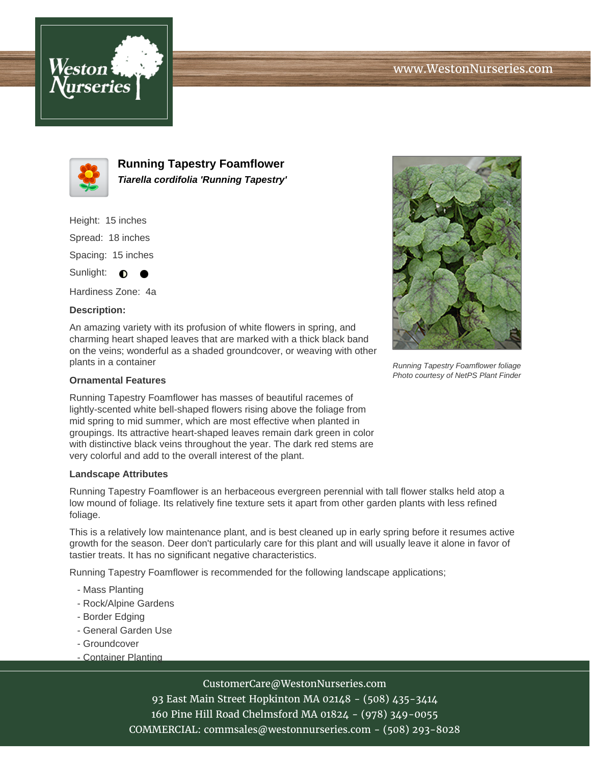



**Running Tapestry Foamflower Tiarella cordifolia 'Running Tapestry'**

Height: 15 inches

Spread: 18 inches

Spacing: 15 inches

Sunlight:  $\bullet$ 

Hardiness Zone: 4a

# **Description:**

An amazing variety with its profusion of white flowers in spring, and charming heart shaped leaves that are marked with a thick black band on the veins; wonderful as a shaded groundcover, or weaving with other plants in a container

## **Ornamental Features**

Running Tapestry Foamflower has masses of beautiful racemes of lightly-scented white bell-shaped flowers rising above the foliage from mid spring to mid summer, which are most effective when planted in groupings. Its attractive heart-shaped leaves remain dark green in color with distinctive black veins throughout the year. The dark red stems are very colorful and add to the overall interest of the plant.

#### **Landscape Attributes**

Running Tapestry Foamflower is an herbaceous evergreen perennial with tall flower stalks held atop a low mound of foliage. Its relatively fine texture sets it apart from other garden plants with less refined foliage.

This is a relatively low maintenance plant, and is best cleaned up in early spring before it resumes active growth for the season. Deer don't particularly care for this plant and will usually leave it alone in favor of tastier treats. It has no significant negative characteristics.

Running Tapestry Foamflower is recommended for the following landscape applications;

- Mass Planting
- Rock/Alpine Gardens
- Border Edging
- General Garden Use
- Groundcover
- Container Planting

# CustomerCare@WestonNurseries.com

93 East Main Street Hopkinton MA 02148 - (508) 435-3414 160 Pine Hill Road Chelmsford MA 01824 - (978) 349-0055 COMMERCIAL: commsales@westonnurseries.com - (508) 293-8028



Running Tapestry Foamflower foliage Photo courtesy of NetPS Plant Finder